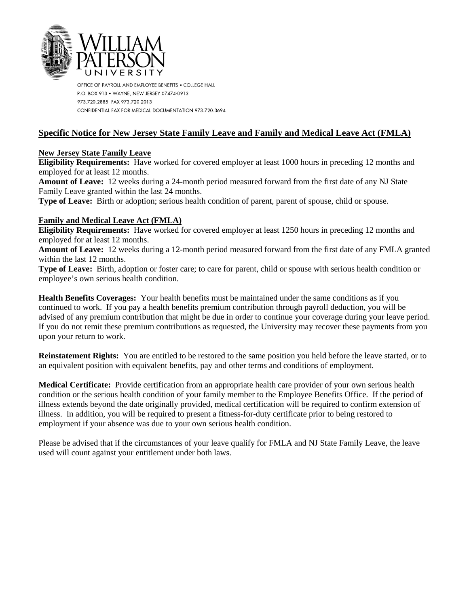

OFFICE OF PAYROLL AND EMPLOYEE BENEFITS . COLLEGE HALL P.O. BOX 913 . WAYNE, NEW JERSEY 07474-0913 973.720.2885 FAX 973.720.2013 CONFIDENTIAL FAX FOR MEDICAL DOCUMENTATION 973.720.3694

## **Specific Notice for New Jersey State Family Leave and Family and Medical Leave Act (FMLA)**

## **New Jersey State Family Leave**

**Eligibility Requirements:** Have worked for covered employer at least 1000 hours in preceding 12 months and employed for at least 12 months.

**Amount of Leave:** 12 weeks during a 24-month period measured forward from the first date of any NJ State Family Leave granted within the last 24 months.

**Type of Leave:** Birth or adoption; serious health condition of parent, parent of spouse, child or spouse.

## **Family and Medical Leave Act (FMLA)**

**Eligibility Requirements:** Have worked for covered employer at least 1250 hours in preceding 12 months and employed for at least 12 months.

**Amount of Leave:** 12 weeks during a 12-month period measured forward from the first date of any FMLA granted within the last 12 months.

**Type of Leave:** Birth, adoption or foster care; to care for parent, child or spouse with serious health condition or employee's own serious health condition.

**Health Benefits Coverages:** Your health benefits must be maintained under the same conditions as if you continued to work. If you pay a health benefits premium contribution through payroll deduction, you will be advised of any premium contribution that might be due in order to continue your coverage during your leave period. If you do not remit these premium contributions as requested, the University may recover these payments from you upon your return to work.

**Reinstatement Rights:** You are entitled to be restored to the same position you held before the leave started, or to an equivalent position with equivalent benefits, pay and other terms and conditions of employment.

**Medical Certificate:** Provide certification from an appropriate health care provider of your own serious health condition or the serious health condition of your family member to the Employee Benefits Office. If the period of illness extends beyond the date originally provided, medical certification will be required to confirm extension of illness. In addition, you will be required to present a fitness-for-duty certificate prior to being restored to employment if your absence was due to your own serious health condition.

Please be advised that if the circumstances of your leave qualify for FMLA and NJ State Family Leave, the leave used will count against your entitlement under both laws.